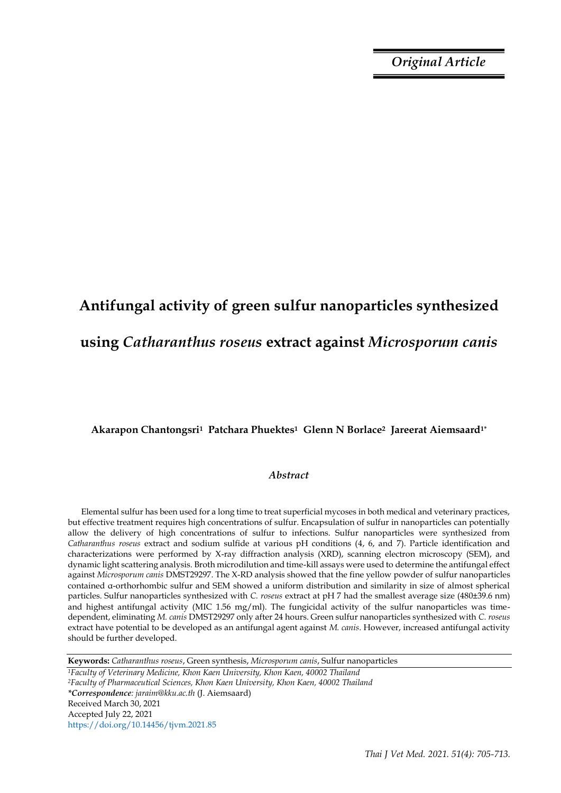*Original Article*

# **Antifungal activity of green sulfur nanoparticles synthesized using** *Catharanthus roseus* **extract against** *Microsporum canis*

## **Akarapon Chantongsri1 Patchara Phuektes1 Glenn N Borlace2 Jareerat Aiemsaard1\***

#### *Abstract*

Elemental sulfur has been used for a long time to treat superficial mycoses in both medical and veterinary practices, but effective treatment requires high concentrations of sulfur. Encapsulation of sulfur in nanoparticles can potentially allow the delivery of high concentrations of sulfur to infections. Sulfur nanoparticles were synthesized from *Catharanthus roseus* extract and sodium sulfide at various pH conditions (4, 6, and 7). Particle identification and characterizations were performed by X-ray diffraction analysis (XRD), scanning electron microscopy (SEM), and dynamic light scattering analysis. Broth microdilution and time-kill assays were used to determine the antifungal effect against *Microsporum canis* DMST29297. The X-RD analysis showed that the fine yellow powder of sulfur nanoparticles contained α-orthorhombic sulfur and SEM showed a uniform distribution and similarity in size of almost spherical particles. Sulfur nanoparticles synthesized with *C. roseus* extract at pH 7 had the smallest average size (480±39.6 nm) and highest antifungal activity (MIC 1.56 mg/ml). The fungicidal activity of the sulfur nanoparticles was timedependent, eliminating *M. canis* DMST29297 only after 24 hours. Green sulfur nanoparticles synthesized with *C. roseus* extract have potential to be developed as an antifungal agent against *M. canis*. However, increased antifungal activity should be further developed.

**Keywords:** *Catharanthus roseus*, Green synthesis, *Microsporum canis*, Sulfur nanoparticles

*<sup>1</sup>Faculty of Veterinary Medicine, Khon Kaen University, Khon Kaen, 40002 Thailand <sup>2</sup>Faculty of Pharmaceutical Sciences, Khon Kaen University, Khon Kaen, 40002 Thailand \*Correspondence: jaraim@kku.ac.th* (J. Aiemsaard) Received March 30, 2021 Accepted July 22, 2021 https://doi.org/10.14456/tjvm.2021.85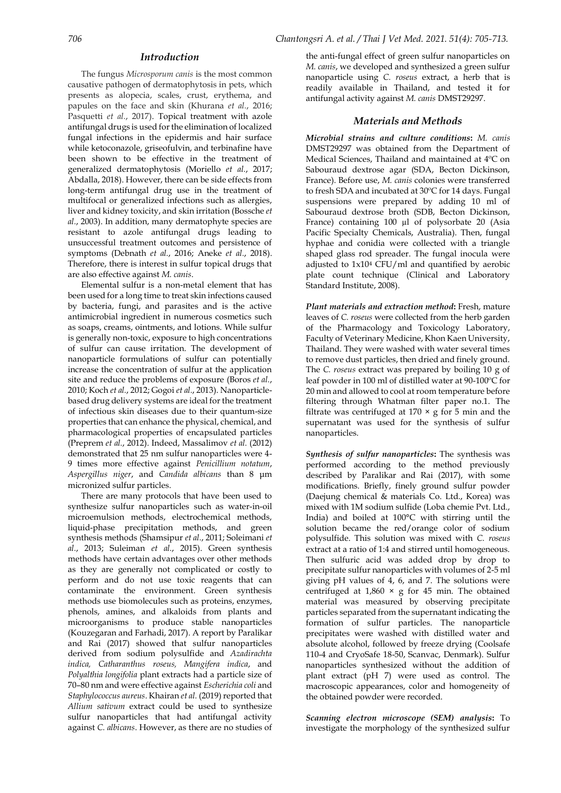#### *Introduction*

The fungus *Microsporum canis* is the most common causative pathogen of dermatophytosis in pets, which presents as alopecia, scales, crust, erythema, and papules on the face and skin (Khurana *et al.*, 2016; Pasquetti *et al.*, 2017). Topical treatment with azole antifungal drugs is used for the elimination of localized fungal infections in the epidermis and hair surface while ketoconazole, griseofulvin, and terbinafine have been shown to be effective in the treatment of generalized dermatophytosis (Moriello *et al.*, 2017; Abdalla, 2018). However, there can be side effects from long-term antifungal drug use in the treatment of multifocal or generalized infections such as allergies, liver and kidney toxicity, and skin irritation (Bossche *et al.*, 2003). In addition, many dermatophyte species are resistant to azole antifungal drugs leading to unsuccessful treatment outcomes and persistence of symptoms (Debnath *et al.*, 2016; Aneke *et al.*, 2018). Therefore, there is interest in sulfur topical drugs that are also effective against *M. canis*.

Elemental sulfur is a non-metal element that has been used for a long time to treat skin infections caused by bacteria, fungi, and parasites and is the active antimicrobial ingredient in numerous cosmetics such as soaps, creams, ointments, and lotions. While sulfur is generally non-toxic, exposure to high concentrations of sulfur can cause irritation. The development of nanoparticle formulations of sulfur can potentially increase the concentration of sulfur at the application site and reduce the problems of exposure (Boros *et al.*, 2010; Koch *et al.*, 2012; Gogoi *et al.*, 2013). Nanoparticlebased drug delivery systems are ideal for the treatment of infectious skin diseases due to their quantum-size properties that can enhance the physical, chemical, and pharmacological properties of encapsulated particles (Preprem *et al.*, 2012). Indeed, Massalimov *et al.* (2012) demonstrated that 25 nm sulfur nanoparticles were 4- 9 times more effective against *Penicillium notatum*, *Aspergillus niger*, and *Candida albicans* than 8 μm micronized sulfur particles.

There are many protocols that have been used to synthesize sulfur nanoparticles such as water-in-oil microemulsion methods, electrochemical methods, liquid-phase precipitation methods, and green synthesis methods (Shamsipur *et al.*, 2011; Soleimani *et al.*, 2013; Suleiman *et al.*, 2015). Green synthesis methods have certain advantages over other methods as they are generally not complicated or costly to perform and do not use toxic reagents that can contaminate the environment. Green synthesis methods use biomolecules such as proteins, enzymes, phenols, amines, and alkaloids from plants and microorganisms to produce stable nanoparticles (Kouzegaran and Farhadi, 2017). A report by Paralikar and Rai (2017) showed that sulfur nanoparticles derived from sodium polysulfide and *Azadirachta indica, Catharanthus roseus, Mangifera indica*, and *Polyalthia longifolia* plant extracts had a particle size of 70–80 nm and were effective against *Escherichia coli* and *Staphylococcus aureus*. Khairan *et al.* (2019) reported that *Allium sativum* extract could be used to synthesize sulfur nanoparticles that had antifungal activity against *C. albicans*. However, as there are no studies of

the anti-fungal effect of green sulfur nanoparticles on *M. canis*, we developed and synthesized a green sulfur nanoparticle using *C. roseus* extract, a herb that is readily available in Thailand, and tested it for antifungal activity against *M. canis* DMST29297.

#### *Materials and Methods*

*Microbial strains and culture conditions***:** *M. canis* DMST29297 was obtained from the Department of Medical Sciences, Thailand and maintained at 4ºC on Sabouraud dextrose agar (SDA, Becton Dickinson, France). Before use, *M. canis* colonies were transferred to fresh SDA and incubated at 30ºC for 14 days. Fungal suspensions were prepared by adding 10 ml of Sabouraud dextrose broth (SDB, Becton Dickinson, France) containing 100 µl of polysorbate 20 (Asia Pacific Specialty Chemicals, Australia). Then, fungal hyphae and conidia were collected with a triangle shaped glass rod spreader. The fungal inocula were adjusted to 1x10<sup>4</sup> CFU/ml and quantified by aerobic plate count technique (Clinical and Laboratory Standard Institute, 2008).

*Plant materials and extraction method***:** Fresh, mature leaves of *C. roseus* were collected from the herb garden of the Pharmacology and Toxicology Laboratory, Faculty of Veterinary Medicine, Khon Kaen University, Thailand. They were washed with water several times to remove dust particles, then dried and finely ground. The *C. roseus* extract was prepared by boiling 10 g of leaf powder in 100 ml of distilled water at 90-100ºC for 20 min and allowed to cool at room temperature before filtering through Whatman filter paper no.1. The filtrate was centrifuged at  $170 \times g$  for 5 min and the supernatant was used for the synthesis of sulfur nanoparticles.

*Synthesis of sulfur nanoparticles***:** The synthesis was performed according to the method previously described by Paralikar and Rai (2017), with some modifications. Briefly, finely ground sulfur powder (Daejung chemical & materials Co. Ltd., Korea) was mixed with 1M sodium sulfide (Loba chemie Pvt. Ltd., India) and boiled at 100°C with stirring until the solution became the red/orange color of sodium polysulfide. This solution was mixed with *C. roseus* extract at a ratio of 1:4 and stirred until homogeneous. Then sulfuric acid was added drop by drop to precipitate sulfur nanoparticles with volumes of 2-5 ml giving pH values of 4, 6, and 7. The solutions were centrifuged at  $1,860 \times g$  for 45 min. The obtained material was measured by observing precipitate particles separated from the supernatant indicating the formation of sulfur particles. The nanoparticle precipitates were washed with distilled water and absolute alcohol, followed by freeze drying (Coolsafe 110-4 and CryoSafe 18-50, Scanvac, Denmark). Sulfur nanoparticles synthesized without the addition of plant extract (pH 7) were used as control. The macroscopic appearances, color and homogeneity of the obtained powder were recorded.

*Scanning electron microscope (SEM) analysis***:** To investigate the morphology of the synthesized sulfur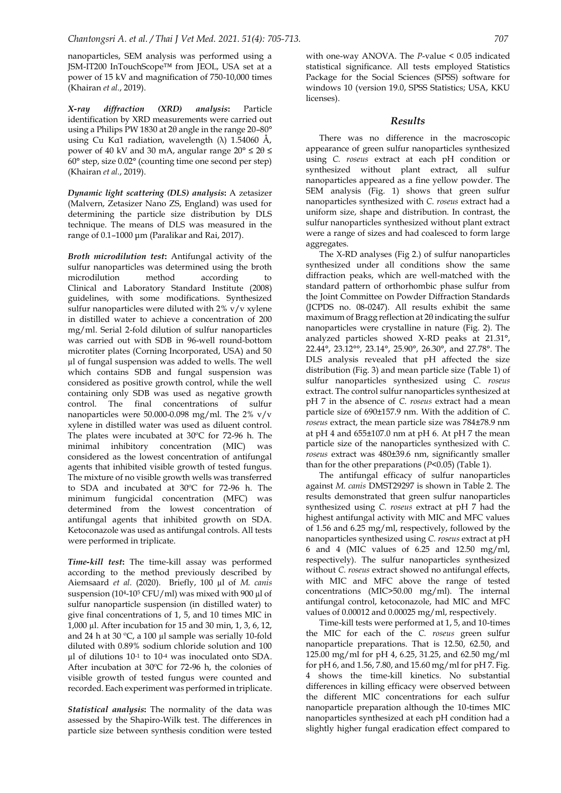nanoparticles, SEM analysis was performed using a JSM-IT200 InTouchScope™ from JEOL, USA set at a power of 15 kV and magnification of 750-10,000 times (Khairan *et al.*, 2019).

*X-ray diffraction (XRD) analysis***:** Particle identification by XRD measurements were carried out using a Philips PW 1830 at 2θ angle in the range 20–80° using Cu Kα1 radiation, wavelength (λ)  $1.54060$  Å, power of 40 kV and 30 mA, angular range  $20^{\circ} \le 2\theta \le$ 60° step, size 0.02° (counting time one second per step) (Khairan *et al.*, 2019).

*Dynamic light scattering (DLS) analysis***:** A zetasizer (Malvern, Zetasizer Nano ZS, England) was used for determining the particle size distribution by DLS technique. The means of DLS was measured in the range of 0.1–1000 μm (Paralikar and Rai, 2017).

*Broth microdilution test***:** Antifungal activity of the sulfur nanoparticles was determined using the broth microdilution method according to Clinical and Laboratory Standard Institute (2008) guidelines, with some modifications. Synthesized sulfur nanoparticles were diluted with 2% v/v xylene in distilled water to achieve a concentration of 200 mg/ml. Serial 2-fold dilution of sulfur nanoparticles was carried out with SDB in 96-well round-bottom microtiter plates (Corning Incorporated, USA) and 50 µl of fungal suspension was added to wells. The well which contains SDB and fungal suspension was considered as positive growth control, while the well containing only SDB was used as negative growth control. The final concentrations of sulfur nanoparticles were 50.000-0.098 mg/ml. The 2% v/v xylene in distilled water was used as diluent control. The plates were incubated at 30ºC for 72-96 h. The minimal inhibitory concentration (MIC) was considered as the lowest concentration of antifungal agents that inhibited visible growth of tested fungus. The mixture of no visible growth wells was transferred to SDA and incubated at 30ºC for 72-96 h. The minimum fungicidal concentration (MFC) was determined from the lowest concentration of antifungal agents that inhibited growth on SDA. Ketoconazole was used as antifungal controls. All tests were performed in triplicate.

*Time-kill test***:** The time-kill assay was performed according to the method previously described by Aiemsaard *et al.* (2020). Briefly, 100 µl of *M. canis* suspension (104-10<sup>5</sup> CFU/ml) was mixed with 900  $\mu$ l of sulfur nanoparticle suspension (in distilled water) to give final concentrations of 1, 5, and 10 times MIC in 1,000 µl. After incubation for 15 and 30 min, 1, 3, 6, 12, and 24 h at 30 °C, a 100 µl sample was serially 10-fold diluted with 0.89% sodium chloride solution and 100 µl of dilutions 10-1 to 10-4 was inoculated onto SDA. After incubation at 30ºC for 72-96 h, the colonies of visible growth of tested fungus were counted and recorded. Each experiment was performed in triplicate.

*Statistical analysis***:** The normality of the data was assessed by the Shapiro-Wilk test. The differences in particle size between synthesis condition were tested

with one-way ANOVA. The *P*-value < 0.05 indicated statistical significance. All tests employed Statistics Package for the Social Sciences (SPSS) software for windows 10 (version 19.0, SPSS Statistics; USA, KKU licenses).

#### *Results*

There was no difference in the macroscopic appearance of green sulfur nanoparticles synthesized using *C. roseus* extract at each pH condition or synthesized without plant extract, all sulfur nanoparticles appeared as a fine yellow powder. The SEM analysis (Fig. 1) shows that green sulfur nanoparticles synthesized with *C. roseus* extract had a uniform size, shape and distribution. In contrast, the sulfur nanoparticles synthesized without plant extract were a range of sizes and had coalesced to form large aggregates.

The X-RD analyses (Fig 2.) of sulfur nanoparticles synthesized under all conditions show the same diffraction peaks, which are well-matched with the standard pattern of orthorhombic phase sulfur from the Joint Committee on Powder Diffraction Standards (JCPDS no. 08-0247). All results exhibit the same maximum of Bragg reflection at 2θ indicating the sulfur nanoparticles were crystalline in nature (Fig. 2). The analyzed particles showed X-RD peaks at 21.31°, 22.44°, 23.12°°, 23.14°, 25.90°, 26.30°, and 27.78°. The DLS analysis revealed that pH affected the size distribution (Fig. 3) and mean particle size (Table 1) of sulfur nanoparticles synthesized using *C. roseus* extract. The control sulfur nanoparticles synthesized at pH 7 in the absence of *C. roseus* extract had a mean particle size of 690±157.9 nm. With the addition of *C. roseus* extract, the mean particle size was 784±78.9 nm at pH 4 and  $655\pm107.0$  nm at pH 6. At pH 7 the mean particle size of the nanoparticles synthesized with *C. roseus* extract was 480±39.6 nm, significantly smaller than for the other preparations (*P*<0.05) (Table 1).

The antifungal efficacy of sulfur nanoparticles against *M. canis* DMST29297 is shown in Table 2. The results demonstrated that green sulfur nanoparticles synthesized using *C. roseus* extract at pH 7 had the highest antifungal activity with MIC and MFC values of 1.56 and 6.25 mg/ml, respectively, followed by the nanoparticles synthesized using *C. roseus* extract at pH 6 and 4 (MIC values of 6.25 and 12.50 mg/ml, respectively). The sulfur nanoparticles synthesized without *C. roseus* extract showed no antifungal effects, with MIC and MFC above the range of tested concentrations (MIC>50.00 mg/ml). The internal antifungal control, ketoconazole, had MIC and MFC values of 0.00012 and 0.00025 mg/ml, respectively.

Time-kill tests were performed at 1, 5, and 10-times the MIC for each of the *C. roseus* green sulfur nanoparticle preparations. That is 12.50, 62.50, and 125.00 mg/ml for pH 4, 6.25, 31.25, and 62.50 mg/ml for pH 6, and 1.56, 7.80, and 15.60 mg/ml for pH 7. Fig. 4 shows the time-kill kinetics. No substantial differences in killing efficacy were observed between the different MIC concentrations for each sulfur nanoparticle preparation although the 10-times MIC nanoparticles synthesized at each pH condition had a slightly higher fungal eradication effect compared to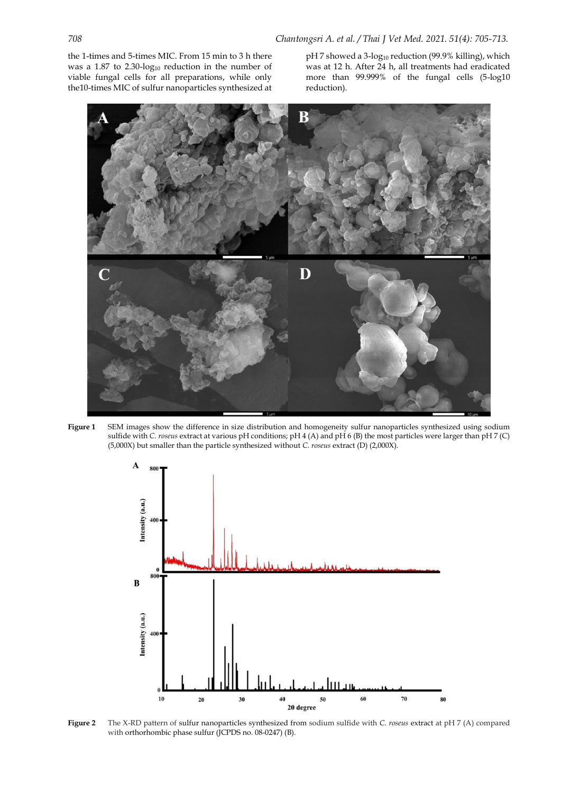the 1-times and 5-times MIC. From 15 min to 3 h there was a  $1.87$  to  $2.30$ -log<sub>10</sub> reduction in the number of viable fungal cells for all preparations, while only the10-times MIC of sulfur nanoparticles synthesized at

pH 7 showed a 3-log<sub>10</sub> reduction (99.9% killing), which was at 12 h. After 24 h, all treatments had eradicated more than 99.999% of the fungal cells (5-log10 reduction).







**Figure 2** The X-RD pattern of sulfur nanoparticles synthesized from sodium sulfide with *C. roseus* extract at pH 7 (A) compared with orthorhombic phase sulfur (JCPDS no. 08-0247) (B).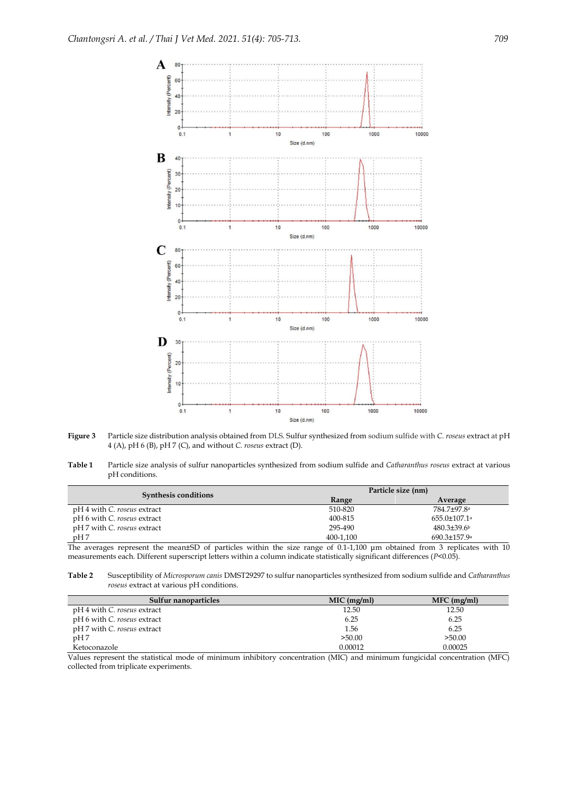

- **Figure 3** Particle size distribution analysis obtained from DLS. Sulfur synthesized from sodium sulfide with *C. roseus* extract at pH 4 (A), pH 6 (B), pH 7 (C), and without *C. roseus* extract (D).
- **Table 1** Particle size analysis of sulfur nanoparticles synthesized from sodium sulfide and *Catharanthus roseus* extract at various pH conditions.

|                                                                                     |                                                | Particle size (nm)                                         |  |
|-------------------------------------------------------------------------------------|------------------------------------------------|------------------------------------------------------------|--|
| Synthesis conditions                                                                | Range                                          | Average                                                    |  |
| pH 4 with <i>C. roseus</i> extract                                                  | 510-820                                        | 784.7±97.8ª                                                |  |
| pH 6 with C. roseus extract                                                         | 400-815                                        | $655.0 \pm 107.1$ <sup>a</sup>                             |  |
| pH 7 with C. roseus extract                                                         | 295-490                                        | $480.3 \pm 39.6$                                           |  |
| pH7                                                                                 | 400-1.100                                      | $690.3 \pm 157.9$ <sup>a</sup>                             |  |
| <b>COLLECT</b><br>$\cdots$<br>$. \cap T$<br>$\cdots$<br>$\sim$ 1<br>$\sim$ $\sim$ 1 | $\epsilon$ $\alpha$ $\alpha$ $\alpha$ $\alpha$ | $\cdot$ $\cdot$ $\cdot$ $\cdot$<br>$\cdots$<br>$\sim$<br>. |  |

The averages represent the mean±SD of particles within the size range of 0.1-1,100 μm obtained from 3 replicates with 10 measurements each. Different superscript letters within a column indicate statistically significant differences (*P*<0.05).

**Table 2** Susceptibility of *Microsporum canis* DMST29297 to sulfur nanoparticles synthesized from sodium sulfide and *Catharanthus roseus* extract at various pH conditions.

| Sulfur nanoparticles        | $MIC$ (mg/ml) | $MFC$ (mg/ml) |
|-----------------------------|---------------|---------------|
| pH 4 with C. roseus extract | 12.50         | 12.50         |
| pH 6 with C. roseus extract | 6.25          | 6.25          |
| pH 7 with C. roseus extract | 1.56          | 6.25          |
| pH7                         | >50.00        | >50.00        |
| Ketoconazole                | 0.00012       | 0.00025       |

Values represent the statistical mode of minimum inhibitory concentration (MIC) and minimum fungicidal concentration (MFC) collected from triplicate experiments.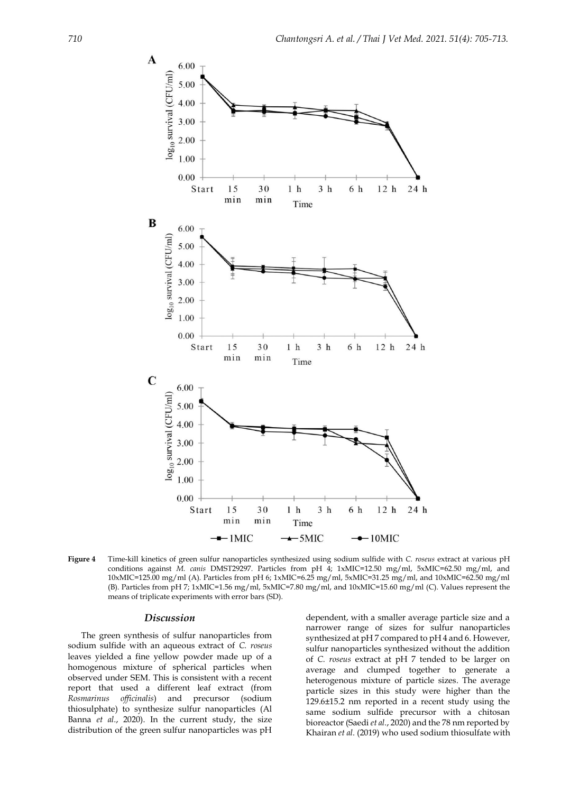

**Figure 4** Time-kill kinetics of green sulfur nanoparticles synthesized using sodium sulfide with *C. roseus* extract at various pH conditions against *M. canis* DMST29297. Particles from pH 4; 1xMIC=12.50 mg/ml, 5xMIC=62.50 mg/ml, and 10xMIC=125.00 mg/ml (A). Particles from pH 6; 1xMIC=6.25 mg/ml, 5xMIC=31.25 mg/ml, and 10xMIC=62.50 mg/ml (B). Particles from pH 7; 1xMIC=1.56 mg/ml, 5xMIC=7.80 mg/ml, and 10xMIC=15.60 mg/ml (C). Values represent the means of triplicate experiments with error bars (SD).

### *Discussion*

The green synthesis of sulfur nanoparticles from sodium sulfide with an aqueous extract of *C. roseus* leaves yielded a fine yellow powder made up of a homogenous mixture of spherical particles when observed under SEM. This is consistent with a recent report that used a different leaf extract (from *Rosmarinus officinalis*) and precursor (sodium thiosulphate) to synthesize sulfur nanoparticles (Al Banna *et al.*, 2020). In the current study, the size distribution of the green sulfur nanoparticles was pH

dependent, with a smaller average particle size and a narrower range of sizes for sulfur nanoparticles synthesized at pH 7 compared to pH 4 and 6. However, sulfur nanoparticles synthesized without the addition of *C. roseus* extract at pH 7 tended to be larger on average and clumped together to generate a heterogenous mixture of particle sizes. The average particle sizes in this study were higher than the 129.6±15.2 nm reported in a recent study using the same sodium sulfide precursor with a chitosan bioreactor (Saedi *et al.*, 2020) and the 78 nm reported by Khairan *et al.* (2019) who used sodium thiosulfate with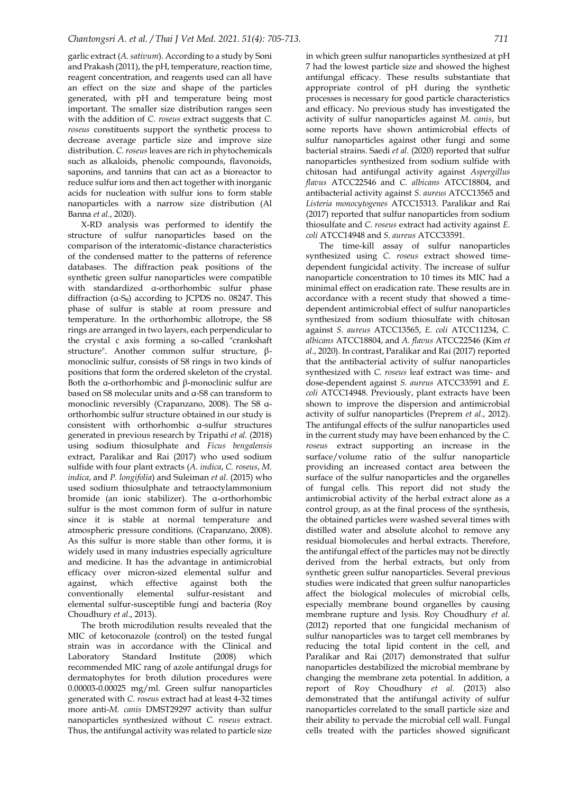garlic extract (*A. sativum*). According to a study by Soni and Prakash (2011), the pH, temperature, reaction time, reagent concentration, and reagents used can all have an effect on the size and shape of the particles generated, with pH and temperature being most important. The smaller size distribution ranges seen with the addition of *C. roseus* extract suggests that *C. roseus* constituents support the synthetic process to decrease average particle size and improve size distribution. *C. roseus* leaves are rich in phytochemicals such as alkaloids, phenolic compounds, flavonoids, saponins, and tannins that can act as a bioreactor to reduce sulfur ions and then act together with inorganic acids for nucleation with sulfur ions to form stable nanoparticles with a narrow size distribution (Al Banna *et al.*, 2020).

X-RD analysis was performed to identify the structure of sulfur nanoparticles based on the comparison of the interatomic-distance characteristics of the condensed matter to the patterns of reference databases. The diffraction peak positions of the synthetic green sulfur nanoparticles were compatible with standardized α-orthorhombic sulfur phase diffraction  $(a-S_8)$  according to JCPDS no. 08247. This phase of sulfur is stable at room pressure and temperature. In the orthorhombic allotrope, the S8 rings are arranged in two layers, each perpendicular to the crystal c axis forming a so-called "crankshaft structure". Another common sulfur structure, βmonoclinic sulfur, consists of S8 rings in two kinds of positions that form the ordered skeleton of the crystal. Both the α-orthorhombic and β-monoclinic sulfur are based on S8 molecular units and α-S8 can transform to monoclinic reversibly (Crapanzano, 2008). The S8 αorthorhombic sulfur structure obtained in our study is consistent with orthorhombic α-sulfur structures generated in previous research by Tripathi *et al.* (2018) using sodium thiosulphate and *Ficus bengalensis* extract, Paralikar and Rai (2017) who used sodium sulfide with four plant extracts (*A. indica*, *C. roseus*, *M. indica*, and *P. longifolia*) and Suleiman *et al.* (2015) who used sodium thiosulphate and tetraoctylammonium bromide (an ionic stabilizer). The α-orthorhombic sulfur is the most common form of sulfur in nature since it is stable at normal temperature and atmospheric pressure conditions. (Crapanzano, 2008). As this sulfur is more stable than other forms, it is widely used in many industries especially agriculture and medicine. It has the advantage in antimicrobial efficacy over micron-sized elemental sulfur and against, which effective against both the conventionally elemental sulfur-resistant and elemental sulfur-susceptible fungi and bacteria (Roy Choudhury *et al*., 2013).

The broth microdilution results revealed that the MIC of ketoconazole (control) on the tested fungal strain was in accordance with the Clinical and Laboratory Standard Institute (2008) which recommended MIC rang of azole antifungal drugs for dermatophytes for broth dilution procedures were 0.00003-0.00025 mg/ml. Green sulfur nanoparticles generated with *C. roseus* extract had at least 4-32 times more anti-*M. canis* DMST29297 activity than sulfur nanoparticles synthesized without *C. roseus* extract. Thus, the antifungal activity was related to particle size

in which green sulfur nanoparticles synthesized at pH 7 had the lowest particle size and showed the highest antifungal efficacy. These results substantiate that appropriate control of pH during the synthetic processes is necessary for good particle characteristics and efficacy. No previous study has investigated the activity of sulfur nanoparticles against *M. canis*, but some reports have shown antimicrobial effects of sulfur nanoparticles against other fungi and some bacterial strains. Saedi *et al.* (2020) reported that sulfur nanoparticles synthesized from sodium sulfide with chitosan had antifungal activity against *Aspergillus flavus* ATCC22546 and *C. albicans* ATCC18804, and antibacterial activity against *S. aureus* ATCC13565 and *Listeria monocytogenes* ATCC15313. Paralikar and Rai (2017) reported that sulfur nanoparticles from sodium thiosulfate and *C. roseus* extract had activity against *E. coli* ATCC14948 and *S. aureus* ATCC33591.

The time-kill assay of sulfur nanoparticles synthesized using *C. roseus* extract showed timedependent fungicidal activity. The increase of sulfur nanoparticle concentration to 10 times its MIC had a minimal effect on eradication rate. These results are in accordance with a recent study that showed a timedependent antimicrobial effect of sulfur nanoparticles synthesized from sodium thiosulfate with chitosan against *S. aureus* ATCC13565, *E. coli* ATCC11234, *C. albicans* ATCC18804, and *A. flavus* ATCC22546 (Kim *et al.*, 2020). In contrast, Paralikar and Rai (2017) reported that the antibacterial activity of sulfur nanoparticles synthesized with *C. roseus* leaf extract was time- and dose-dependent against *S. aureus* ATCC33591 and *E. coli* ATCC14948. Previously, plant extracts have been shown to improve the dispersion and antimicrobial activity of sulfur nanoparticles (Preprem *et al.*, 2012). The antifungal effects of the sulfur nanoparticles used in the current study may have been enhanced by the *C. roseus* extract supporting an increase in the surface/volume ratio of the sulfur nanoparticle providing an increased contact area between the surface of the sulfur nanoparticles and the organelles of fungal cells. This report did not study the antimicrobial activity of the herbal extract alone as a control group, as at the final process of the synthesis, the obtained particles were washed several times with distilled water and absolute alcohol to remove any residual biomolecules and herbal extracts. Therefore, the antifungal effect of the particles may not be directly derived from the herbal extracts, but only from synthetic green sulfur nanoparticles. Several previous studies were indicated that green sulfur nanoparticles affect the biological molecules of microbial cells, especially membrane bound organelles by causing membrane rupture and lysis. Roy Choudhury *et al.* (2012) reported that one fungicidal mechanism of sulfur nanoparticles was to target cell membranes by reducing the total lipid content in the cell, and Paralikar and Rai (2017) demonstrated that sulfur nanoparticles destabilized the microbial membrane by changing the membrane zeta potential. In addition, a report of Roy Choudhury *et al.* (2013) also demonstrated that the antifungal activity of sulfur nanoparticles correlated to the small particle size and their ability to pervade the microbial cell wall. Fungal cells treated with the particles showed significant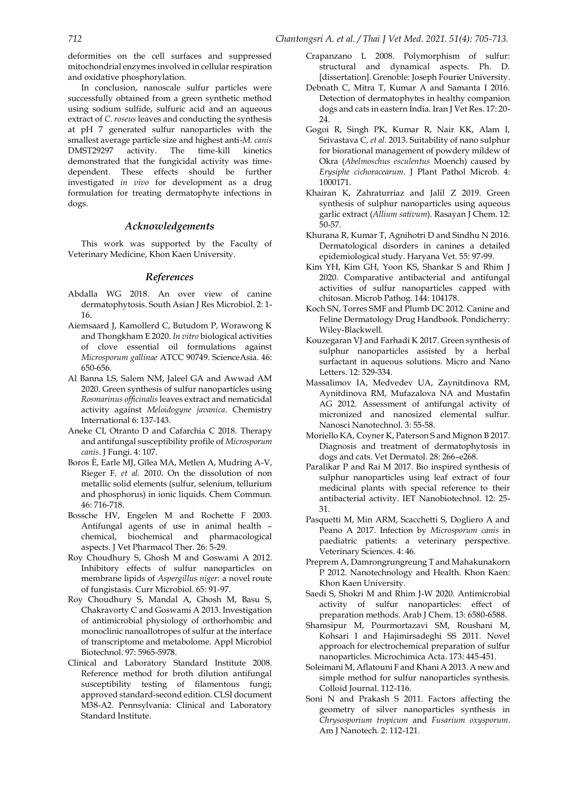deformities on the cell surfaces and suppressed mitochondrial enzymes involved in cellular respiration and oxidative phosphorylation.

In conclusion, nanoscale sulfur particles were successfully obtained from a green synthetic method using sodium sulfide, sulfuric acid and an aqueous extract of *C. roseus* leaves and conducting the synthesis at pH 7 generated sulfur nanoparticles with the smallest average particle size and highest anti-*M. canis* DMST29297 activity. The time-kill kinetics demonstrated that the fungicidal activity was timedependent. These effects should be further investigated *in vivo* for development as a drug formulation for treating dermatophyte infections in dogs.

#### *Acknowledgements*

This work was supported by the Faculty of Veterinary Medicine, Khon Kaen University.

#### *References*

- Abdalla WG 2018. An over view of canine dermatophytosis. South Asian J Res Microbiol. 2: 1- 16.
- Aiemsaard J, Kamollerd C, Butudom P, Worawong K and Thongkham E 2020. *In vitro* biological activities of clove essential oil formulations against *Microsporum gallinae* ATCC 90749. ScienceAsia. 46: 650-656.
- Al Banna LS, Salem NM, Jaleel GA and Awwad AM 2020. Green synthesis of sulfur nanoparticles using *Rosmarinus officinalis* leaves extract and nematicidal activity against *Meloidogyne javanica*. Chemistry International 6: 137-143.
- Aneke CI, Otranto D and Cafarchia C 2018. Therapy and antifungal susceptibility profile of *Microsporum canis*. J Fungi. 4: 107.
- Boros È, Earle MJ, Gîlea MA, Metlen A, Mudring A-V, Rieger F*, et al.* 2010. On the dissolution of non metallic solid elements (sulfur, selenium, tellurium and phosphorus) in ionic liquids. Chem Commun. 46: 716-718.
- Bossche HV, Engelen M and Rochette F 2003. Antifungal agents of use in animal health – chemical, biochemical and pharmacological aspects. J Vet Pharmacol Ther. 26: 5-29.
- Roy Choudhury S, Ghosh M and Goswami A 2012. Inhibitory effects of sulfur nanoparticles on membrane lipids of *Aspergillus niger*: a novel route of fungistasis. Curr Microbiol. 65: 91-97.
- Roy Choudhury S, Mandal A, Ghosh M, Basu S, Chakravorty C and Goswami A 2013. Investigation of antimicrobial physiology of orthorhombic and monoclinic nanoallotropes of sulfur at the interface of transcriptome and metabolome. Appl Microbiol Biotechnol. 97: 5965-5978.
- Clinical and Laboratory Standard Institute 2008. Reference method for broth dilution antifungal susceptibility testing of filamentous fungi; approved standard-second edition. CLSI document M38-A2. Pennsylvania: Clinical and Laboratory Standard Institute.
- Crapanzano L 2008. Polymorphism of sulfur: structural and dynamical aspects. Ph. D. [dissertation]. Grenoble: Joseph Fourier University.
- Debnath C, Mitra T, Kumar A and Samanta I 2016. Detection of dermatophytes in healthy companion dogs and cats in eastern India. Iran J Vet Res. 17: 20- 24.
- Gogoi R, Singh PK, Kumar R, Nair KK, Alam I, Srivastava C*, et al.* 2013. Suitability of nano sulphur for biorational management of powdery mildew of Okra (*Abelmoschus esculentus* Moench) caused by *Erysiphe cichoracearum*. J Plant Pathol Microb. 4: 1000171.
- Khairan K, Zahraturriaz and Jalil Z 2019. Green synthesis of sulphur nanoparticles using aqueous garlic extract (*Allium sativum*). Rasayan J Chem. 12: 50-57.
- Khurana R, Kumar T, Agnihotri D and Sindhu N 2016. Dermatological disorders in canines a detailed epidemiological study. Haryana Vet. 55: 97-99.
- Kim YH, Kim GH, Yoon KS, Shankar S and Rhim J 2020. Comparative antibacterial and antifungal activities of sulfur nanoparticles capped with chitosan. Microb Pathog. 144: 104178.
- Koch SN, Torres SMF and Plumb DC 2012. Canine and Feline Dermatology Drug Handbook. Pondicherry: Wiley-Blackwell.
- Kouzegaran VJ and Farhadi K 2017. Green synthesis of sulphur nanoparticles assisted by a herbal surfactant in aqueous solutions. Micro and Nano Letters. 12: 329-334.
- Massalimov IA, Medvedev UA, Zaynitdinova RM, Aynitdinova RM, Mufazalova NA and Mustafin AG 2012. Assessment of antifungal activity of micronized and nanosized elemental sulfur. Nanosci Nanotechnol. 3: 55-58.
- Moriello KA, Coyner K, Paterson S and Mignon B 2017. Diagnosis and treatment of dermatophytosis in dogs and cats. Vet Dermatol. 28: 266–e268.
- Paralikar P and Rai M 2017. Bio inspired synthesis of sulphur nanoparticles using leaf extract of four medicinal plants with special reference to their antibacterial activity. IET Nanobiotechnol. 12: 25- 31.
- Pasquetti M, Min ARM, Scacchetti S, Dogliero A and Peano A 2017. Infection by *Microsporum canis* in paediatric patients: a veterinary perspective. Veterinary Sciences. 4: 46.
- Preprem A, Damrongrungreung T and Mahakunakorn P 2012. Nanotechnology and Health. Khon Kaen: Khon Kaen University.
- Saedi S, Shokri M and Rhim J-W 2020. Antimicrobial activity of sulfur nanoparticles: effect of preparation methods. Arab J Chem. 13: 6580-6588.
- Shamsipur M, Pourmortazavi SM, Roushani M, Kohsari I and Hajimirsadeghi SS 2011. Novel approach for electrochemical preparation of sulfur nanoparticles. Microchimica Acta. 173: 445-451.
- Soleimani M, Aflatouni F and Khani A 2013. A new and simple method for sulfur nanoparticles synthesis. Colloid Journal. 112-116.
- Soni N and Prakash S 2011. Factors affecting the geometry of silver nanoparticles synthesis in *Chrysosporium tropicum* and *Fusarium oxysporum*. Am J Nanotech. 2: 112-121.